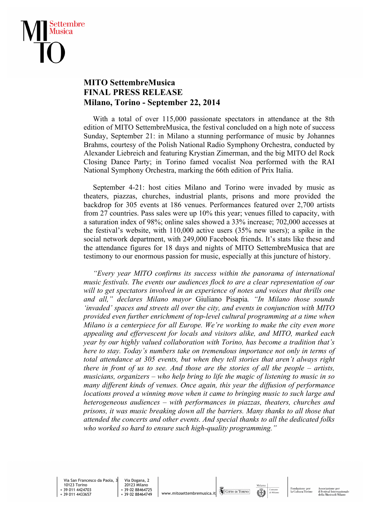

## **MITO SettembreMusica FINAL PRESS RELEASE Milano, Torino - September 22, 2014**

 With a total of over 115,000 passionate spectators in attendance at the 8th edition of MITO SettembreMusica, the festival concluded on a high note of success Sunday, September 21: in Milano a stunning performance of music by Johannes Brahms, courtesy of the Polish National Radio Symphony Orchestra, conducted by Alexander Liebreich and featuring Krystian Zimerman, and the big MITO del Rock Closing Dance Party; in Torino famed vocalist Noa performed with the RAI National Symphony Orchestra, marking the 66th edition of Prix Italia.

 September 4-21: host cities Milano and Torino were invaded by music as theaters, piazzas, churches, industrial plants, prisons and more provided the backdrop for 305 events at 186 venues. Performances featured over 2,700 artists from 27 countries. Pass sales were up 10% this year; venues filled to capacity, with a saturation index of 98%; online sales showed a 33% increase; 702,000 accesses at the festival's website, with 110,000 active users (35% new users); a spike in the social network department, with 249,000 Facebook friends. It's stats like these and the attendance figures for 18 days and nights of MITO SettembreMusica that are testimony to our enormous passion for music, especially at this juncture of history.

 *"Every year MITO confirms its success within the panorama of international music festivals. The events our audiences flock to are a clear representation of our will to get spectators involved in an experience of notes and voices that thrills one and all," declares Milano mayor* Giuliano Pisapia*. "In Milano those sounds 'invaded' spaces and streets all over the city, and events in conjunction with MITO provided even further enrichment of top-level cultural programming at a time when Milano is a centerpiece for all Europe. We're working to make the city even more appealing and effervescent for locals and visitors alike, and MITO, marked each year by our highly valued collaboration with Torino, has become a tradition that's here to stay. Today's numbers take on tremendous importance not only in terms of total attendance at 305 events, but when they tell stories that aren't always right there in front of us to see. And those are the stories of all the people – artists, musicians, organizers – who help bring to life the magic of listening to music in so many different kinds of venues. Once again, this year the diffusion of performance locations proved a winning move when it came to bringing music to such large and heterogeneous audiences – with performances in piazzas, theaters, churches and prisons, it was music breaking down all the barriers. Many thanks to all those that attended the concerts and other events. And special thanks to all the dedicated folks who worked so hard to ensure such high-quality programming."*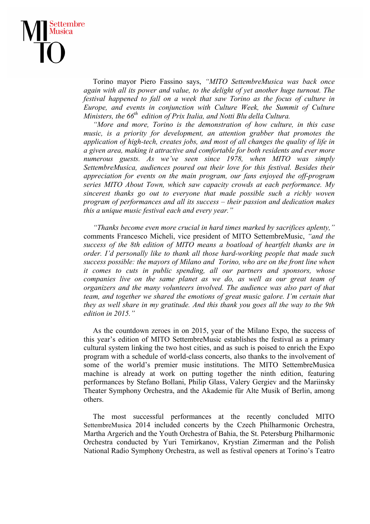## ettembre Musica

 Torino mayor Piero Fassino says, *"MITO SettembreMusica was back once again with all its power and value, to the delight of yet another huge turnout. The festival happened to fall on a week that saw Torino as the focus of culture in Europe, and events in conjunction with Culture Week, the Summit of Culture Ministers, the 66th edition of Prix Italia, and Notti Blu della Cultura.*

 *"More and more, Torino is the demonstration of how culture, in this case music, is a priority for development, an attention grabber that promotes the application of high-tech, creates jobs, and most of all changes the quality of life in a given area, making it attractive and comfortable for both residents and ever more numerous guests. As we've seen since 1978, when MITO was simply SettembreMusica, audiences poured out their love for this festival. Besides their appreciation for events on the main program, our fans enjoyed the off-program series MITO About Town, which saw capacity crowds at each performance. My sincerest thanks go out to everyone that made possible such a richly woven program of performances and all its success – their passion and dedication makes this a unique music festival each and every year."*

 *"Thanks become even more crucial in hard times marked by sacrifices aplenty,"*  comments Francesco Micheli, vice president of MITO SettembreMusic, *"and the success of the 8th edition of MITO means a boatload of heartfelt thanks are in order. I'd personally like to thank all those hard-working people that made such success possible: the mayors of Milano and Torino, who are on the front line when it comes to cuts in public spending, all our partners and sponsors, whose*  companies live on the same planet as we do, as well as our great team of *organizers and the many volunteers involved. The audience was also part of that team, and together we shared the emotions of great music galore. I'm certain that they as well share in my gratitude. And this thank you goes all the way to the 9th edition in 2015."*

 As the countdown zeroes in on 2015, year of the Milano Expo, the success of this year's edition of MITO SettembreMusic establishes the festival as a primary cultural system linking the two host cities, and as such is poised to enrich the Expo program with a schedule of world-class concerts, also thanks to the involvement of some of the world's premier music institutions. The MITO SettembreMusica machine is already at work on putting together the ninth edition, featuring performances by Stefano Bollani, Philip Glass, Valery Gergiev and the Mariinsky Theater Symphony Orchestra, and the Akademie für Alte Musik of Berlin, among others.

 The most successful performances at the recently concluded MITO SettembreMusica 2014 included concerts by the Czech Philharmonic Orchestra, Martha Argerich and the Youth Orchestra of Bahia, the St. Petersburg Philharmonic Orchestra conducted by Yuri Temirkanov, Krystian Zimerman and the Polish National Radio Symphony Orchestra, as well as festival openers at Torino's Teatro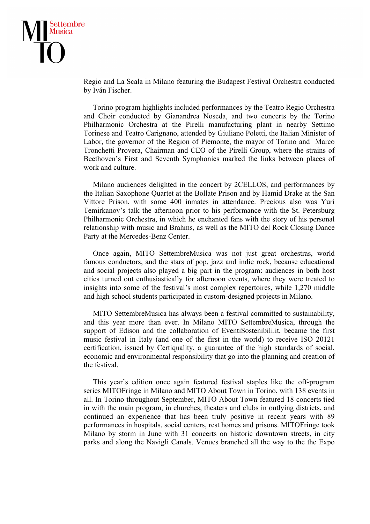

Regio and La Scala in Milano featuring the Budapest Festival Orchestra conducted by Iván Fischer.

 Torino program highlights included performances by the Teatro Regio Orchestra and Choir conducted by Gianandrea Noseda, and two concerts by the Torino Philharmonic Orchestra at the Pirelli manufacturing plant in nearby Settimo Torinese and Teatro Carignano, attended by Giuliano Poletti, the Italian Minister of Labor, the governor of the Region of Piemonte, the mayor of Torino and Marco Tronchetti Provera, Chairman and CEO of the Pirelli Group, where the strains of Beethoven's First and Seventh Symphonies marked the links between places of work and culture.

 Milano audiences delighted in the concert by 2CELLOS, and performances by the Italian Saxophone Quartet at the Bollate Prison and by Hamid Drake at the San Vittore Prison, with some 400 inmates in attendance. Precious also was Yuri Temirkanov's talk the afternoon prior to his performance with the St. Petersburg Philharmonic Orchestra, in which he enchanted fans with the story of his personal relationship with music and Brahms, as well as the MITO del Rock Closing Dance Party at the Mercedes-Benz Center.

 Once again, MITO SettembreMusica was not just great orchestras, world famous conductors, and the stars of pop, jazz and indie rock, because educational and social projects also played a big part in the program: audiences in both host cities turned out enthusiastically for afternoon events, where they were treated to insights into some of the festival's most complex repertoires, while 1,270 middle and high school students participated in custom-designed projects in Milano.

 MITO SettembreMusica has always been a festival committed to sustainability, and this year more than ever. In Milano MITO SettembreMusica, through the support of Edison and the collaboration of EventiSostenibili.it, became the first music festival in Italy (and one of the first in the world) to receive ISO 20121 certification, issued by Certiquality, a guarantee of the high standards of social, economic and environmental responsibility that go into the planning and creation of the festival.

 This year's edition once again featured festival staples like the off-program series MITOFringe in Milano and MITO About Town in Torino, with 138 events in all. In Torino throughout September, MITO About Town featured 18 concerts tied in with the main program, in churches, theaters and clubs in outlying districts, and continued an experience that has been truly positive in recent years with 89 performances in hospitals, social centers, rest homes and prisons. MITOFringe took Milano by storm in June with 31 concerts on historic downtown streets, in city parks and along the Navigli Canals. Venues branched all the way to the the Expo